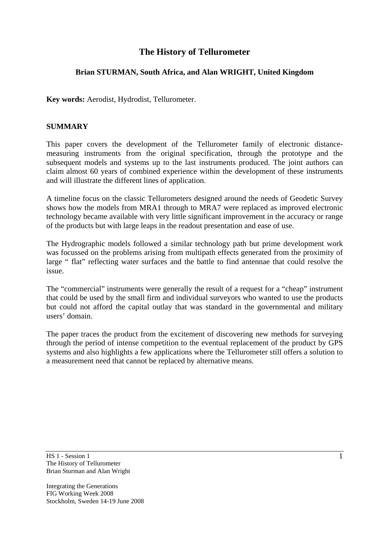# **The History of Tellurometer**

## **Brian STURMAN, South Africa, and Alan WRIGHT, United Kingdom**

**Key words:** Aerodist, Hydrodist, Tellurometer.

### **SUMMARY**

This paper covers the development of the Tellurometer family of electronic distancemeasuring instruments from the original specification, through the prototype and the subsequent models and systems up to the last instruments produced. The joint authors can claim almost 60 years of combined experience within the development of these instruments and will illustrate the different lines of application.

A timeline focus on the classic Tellurometers designed around the needs of Geodetic Survey shows how the models from MRA1 through to MRA7 were replaced as improved electronic technology became available with very little significant improvement in the accuracy or range of the products but with large leaps in the readout presentation and ease of use.

The Hydrographic models followed a similar technology path but prime development work was focussed on the problems arising from multipath effects generated from the proximity of large " flat" reflecting water surfaces and the battle to find antennae that could resolve the issue.

The "commercial" instruments were generally the result of a request for a "cheap" instrument that could be used by the small firm and individual surveyors who wanted to use the products but could not afford the capital outlay that was standard in the governmental and military users' domain.

The paper traces the product from the excitement of discovering new methods for surveying through the period of intense competition to the eventual replacement of the product by GPS systems and also highlights a few applications where the Tellurometer still offers a solution to a measurement need that cannot be replaced by alternative means.

HS 1 - Session 1 The History of Tellurometer Brian Sturman and Alan Wright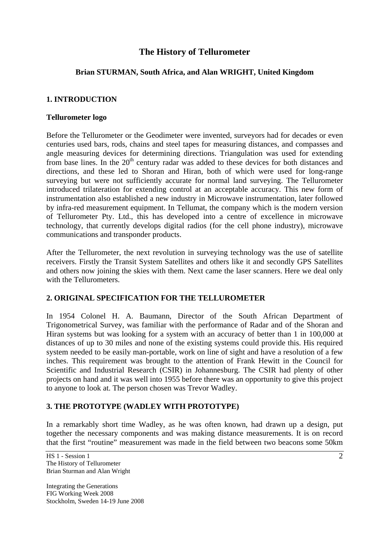# **The History of Tellurometer**

## **Brian STURMAN, South Africa, and Alan WRIGHT, United Kingdom**

### **1. INTRODUCTION**

#### **Tellurometer logo**

Before the Tellurometer or the Geodimeter were invented, surveyors had for decades or even centuries used bars, rods, chains and steel tapes for measuring distances, and compasses and angle measuring devices for determining directions. Triangulation was used for extending from base lines. In the  $20<sup>th</sup>$  century radar was added to these devices for both distances and directions, and these led to Shoran and Hiran, both of which were used for long-range surveying but were not sufficiently accurate for normal land surveying. The Tellurometer introduced trilateration for extending control at an acceptable accuracy. This new form of instrumentation also established a new industry in Microwave instrumentation, later followed by infra-red measurement equipment. In Tellumat, the company which is the modern version of Tellurometer Pty. Ltd., this has developed into a centre of excellence in microwave technology, that currently develops digital radios (for the cell phone industry), microwave communications and transponder products.

After the Tellurometer, the next revolution in surveying technology was the use of satellite receivers. Firstly the Transit System Satellites and others like it and secondly GPS Satellites and others now joining the skies with them. Next came the laser scanners. Here we deal only with the Tellurometers.

#### **2. ORIGINAL SPECIFICATION FOR THE TELLUROMETER**

In 1954 Colonel H. A. Baumann, Director of the South African Department of Trigonometrical Survey, was familiar with the performance of Radar and of the Shoran and Hiran systems but was looking for a system with an accuracy of better than 1 in 100,000 at distances of up to 30 miles and none of the existing systems could provide this. His required system needed to be easily man-portable, work on line of sight and have a resolution of a few inches. This requirement was brought to the attention of Frank Hewitt in the Council for Scientific and Industrial Research (CSIR) in Johannesburg. The CSIR had plenty of other projects on hand and it was well into 1955 before there was an opportunity to give this project to anyone to look at. The person chosen was Trevor Wadley.

# **3. THE PROTOTYPE (WADLEY WITH PROTOTYPE)**

In a remarkably short time Wadley, as he was often known, had drawn up a design, put together the necessary components and was making distance measurements. It is on record that the first "routine" measurement was made in the field between two beacons some 50km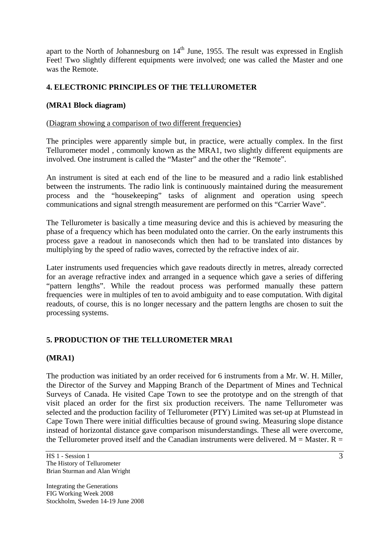apart to the North of Johannesburg on  $14<sup>th</sup>$  June, 1955. The result was expressed in English Feet! Two slightly different equipments were involved; one was called the Master and one was the Remote.

## **4. ELECTRONIC PRINCIPLES OF THE TELLUROMETER**

### **(MRA1 Block diagram)**

#### (Diagram showing a comparison of two different frequencies)

The principles were apparently simple but, in practice, were actually complex. In the first Tellurometer model , commonly known as the MRA1, two slightly different equipments are involved. One instrument is called the "Master" and the other the "Remote".

An instrument is sited at each end of the line to be measured and a radio link established between the instruments. The radio link is continuously maintained during the measurement process and the "housekeeping" tasks of alignment and operation using speech communications and signal strength measurement are performed on this "Carrier Wave".

The Tellurometer is basically a time measuring device and this is achieved by measuring the phase of a frequency which has been modulated onto the carrier. On the early instruments this process gave a readout in nanoseconds which then had to be translated into distances by multiplying by the speed of radio waves, corrected by the refractive index of air.

Later instruments used frequencies which gave readouts directly in metres, already corrected for an average refractive index and arranged in a sequence which gave a series of differing "pattern lengths". While the readout process was performed manually these pattern frequencies were in multiples of ten to avoid ambiguity and to ease computation. With digital readouts, of course, this is no longer necessary and the pattern lengths are chosen to suit the processing systems.

### **5. PRODUCTION OF THE TELLUROMETER MRA1**

#### **(MRA1)**

The production was initiated by an order received for 6 instruments from a Mr. W. H. Miller, the Director of the Survey and Mapping Branch of the Department of Mines and Technical Surveys of Canada. He visited Cape Town to see the prototype and on the strength of that visit placed an order for the first six production receivers. The name Tellurometer was selected and the production facility of Tellurometer (PTY) Limited was set-up at Plumstead in Cape Town There were initial difficulties because of ground swing. Measuring slope distance instead of horizontal distance gave comparison misunderstandings. These all were overcome, the Tellurometer proved itself and the Canadian instruments were delivered.  $M = M$ aster.  $R =$ 

HS 1 - Session 1 The History of Tellurometer Brian Sturman and Alan Wright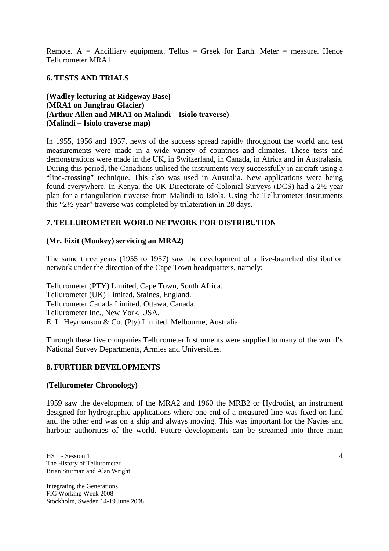Remote. A = Ancilliary equipment. Tellus = Greek for Earth. Meter = measure. Hence Tellurometer MRA1.

### **6. TESTS AND TRIALS**

**(Wadley lecturing at Ridgeway Base) (MRA1 on Jungfrau Glacier) (Arthur Allen and MRA1 on Malindi – Isiolo traverse) (Malindi – Isiolo traverse map)** 

In 1955, 1956 and 1957, news of the success spread rapidly throughout the world and test measurements were made in a wide variety of countries and climates. These tests and demonstrations were made in the UK, in Switzerland, in Canada, in Africa and in Australasia. During this period, the Canadians utilised the instruments very successfully in aircraft using a "line-crossing" technique. This also was used in Australia. New applications were being found everywhere. In Kenya, the UK Directorate of Colonial Surveys (DCS) had a 2½-year plan for a triangulation traverse from Malindi to Isiola. Using the Tellurometer instruments this "2½-year" traverse was completed by trilateration in 28 days.

### **7. TELLUROMETER WORLD NETWORK FOR DISTRIBUTION**

#### **(Mr. Fixit (Monkey) servicing an MRA2)**

The same three years (1955 to 1957) saw the development of a five-branched distribution network under the direction of the Cape Town headquarters, namely:

Tellurometer (PTY) Limited, Cape Town, South Africa. Tellurometer (UK) Limited, Staines, England. Tellurometer Canada Limited, Ottawa, Canada. Tellurometer Inc., New York, USA. E. L. Heymanson & Co. (Pty) Limited, Melbourne, Australia.

Through these five companies Tellurometer Instruments were supplied to many of the world's National Survey Departments, Armies and Universities.

#### **8. FURTHER DEVELOPMENTS**

#### **(Tellurometer Chronology)**

1959 saw the development of the MRA2 and 1960 the MRB2 or Hydrodist, an instrument designed for hydrographic applications where one end of a measured line was fixed on land and the other end was on a ship and always moving. This was important for the Navies and harbour authorities of the world. Future developments can be streamed into three main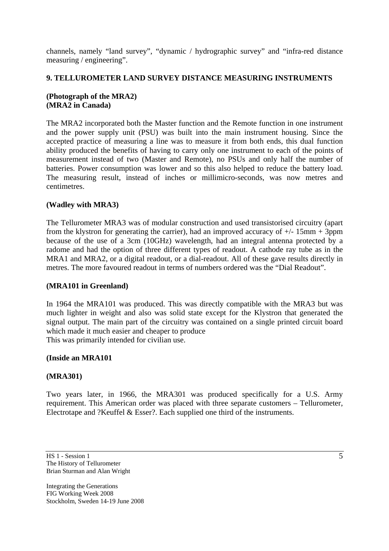channels, namely "land survey", "dynamic / hydrographic survey" and "infra-red distance measuring / engineering".

### **9. TELLUROMETER LAND SURVEY DISTANCE MEASURING INSTRUMENTS**

### **(Photograph of the MRA2) (MRA2 in Canada)**

The MRA2 incorporated both the Master function and the Remote function in one instrument and the power supply unit (PSU) was built into the main instrument housing. Since the accepted practice of measuring a line was to measure it from both ends, this dual function ability produced the benefits of having to carry only one instrument to each of the points of measurement instead of two (Master and Remote), no PSUs and only half the number of batteries. Power consumption was lower and so this also helped to reduce the battery load. The measuring result, instead of inches or millimicro-seconds, was now metres and centimetres.

### **(Wadley with MRA3)**

The Tellurometer MRA3 was of modular construction and used transistorised circuitry (apart from the klystron for generating the carrier), had an improved accuracy of  $\pm$ /- 15mm + 3ppm because of the use of a 3cm (10GHz) wavelength, had an integral antenna protected by a radome and had the option of three different types of readout. A cathode ray tube as in the MRA1 and MRA2, or a digital readout, or a dial-readout. All of these gave results directly in metres. The more favoured readout in terms of numbers ordered was the "Dial Readout".

#### **(MRA101 in Greenland)**

In 1964 the MRA101 was produced. This was directly compatible with the MRA3 but was much lighter in weight and also was solid state except for the Klystron that generated the signal output. The main part of the circuitry was contained on a single printed circuit board which made it much easier and cheaper to produce This was primarily intended for civilian use.

#### **(Inside an MRA101**

#### **(MRA301)**

Two years later, in 1966, the MRA301 was produced specifically for a U.S. Army requirement. This American order was placed with three separate customers – Tellurometer, Electrotape and ?Keuffel & Esser?. Each supplied one third of the instruments.

HS 1 - Session 1 The History of Tellurometer Brian Sturman and Alan Wright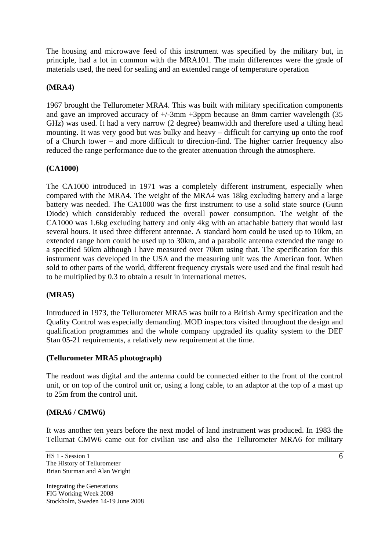The housing and microwave feed of this instrument was specified by the military but, in principle, had a lot in common with the MRA101. The main differences were the grade of materials used, the need for sealing and an extended range of temperature operation

### **(MRA4)**

1967 brought the Tellurometer MRA4. This was built with military specification components and gave an improved accuracy of +/-3mm +3ppm because an 8mm carrier wavelength (35 GHz) was used. It had a very narrow (2 degree) beamwidth and therefore used a tilting head mounting. It was very good but was bulky and heavy – difficult for carrying up onto the roof of a Church tower – and more difficult to direction-find. The higher carrier frequency also reduced the range performance due to the greater attenuation through the atmosphere.

### **(CA1000)**

The CA1000 introduced in 1971 was a completely different instrument, especially when compared with the MRA4. The weight of the MRA4 was 18kg excluding battery and a large battery was needed. The CA1000 was the first instrument to use a solid state source (Gunn Diode) which considerably reduced the overall power consumption. The weight of the CA1000 was 1.6kg excluding battery and only 4kg with an attachable battery that would last several hours. It used three different antennae. A standard horn could be used up to 10km, an extended range horn could be used up to 30km, and a parabolic antenna extended the range to a specified 50km although I have measured over 70km using that. The specification for this instrument was developed in the USA and the measuring unit was the American foot. When sold to other parts of the world, different frequency crystals were used and the final result had to be multiplied by 0.3 to obtain a result in international metres.

#### **(MRA5)**

Introduced in 1973, the Tellurometer MRA5 was built to a British Army specification and the Quality Control was especially demanding. MOD inspectors visited throughout the design and qualification programmes and the whole company upgraded its quality system to the DEF Stan 05-21 requirements, a relatively new requirement at the time.

#### **(Tellurometer MRA5 photograph)**

The readout was digital and the antenna could be connected either to the front of the control unit, or on top of the control unit or, using a long cable, to an adaptor at the top of a mast up to 25m from the control unit.

#### **(MRA6 / CMW6)**

It was another ten years before the next model of land instrument was produced. In 1983 the Tellumat CMW6 came out for civilian use and also the Tellurometer MRA6 for military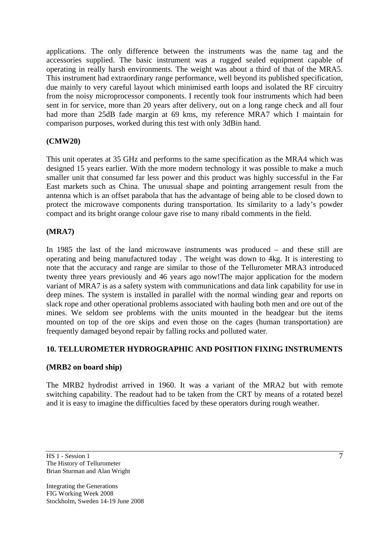applications. The only difference between the instruments was the name tag and the accessories supplied. The basic instrument was a rugged sealed equipment capable of operating in really harsh environments. The weight was about a third of that of the MRA5. This instrument had extraordinary range performance, well beyond its published specification, due mainly to very careful layout which minimised earth loops and isolated the RF circuitry from the noisy microprocessor components. I recently took four instruments which had been sent in for service, more than 20 years after delivery, out on a long range check and all four had more than 25dB fade margin at 69 kms, my reference MRA7 which I maintain for comparison purposes, worked during this test with only 3dBin hand.

## **(CMW20)**

This unit operates at 35 GHz and performs to the same specification as the MRA4 which was designed 15 years earlier. With the more modern technology it was possible to make a much smaller unit that consumed far less power and this product was highly successful in the Far East markets such as China. The unusual shape and pointing arrangement result from the antenna which is an offset parabola that has the advantage of being able to be closed down to protect the microwave components during transportation. Its similarity to a lady's powder compact and its bright orange colour gave rise to many ribald comments in the field.

### **(MRA7)**

In 1985 the last of the land microwave instruments was produced – and these still are operating and being manufactured today . The weight was down to 4kg. It is interesting to note that the accuracy and range are similar to those of the Tellurometer MRA3 introduced twenty three years previously and 46 years ago now!The major application for the modern variant of MRA7 is as a safety system with communications and data link capability for use in deep mines. The system is installed in parallel with the normal winding gear and reports on slack rope and other operational problems associated with hauling both men and ore out of the mines. We seldom see problems with the units mounted in the headgear but the items mounted on top of the ore skips and even those on the cages (human transportation) are frequently damaged beyond repair by falling rocks and polluted water.

### **10. TELLUROMETER HYDROGRAPHIC AND POSITION FIXING INSTRUMENTS**

### **(MRB2 on board ship)**

The MRB2 hydrodist arrived in 1960. It was a variant of the MRA2 but with remote switching capability. The readout had to be taken from the CRT by means of a rotated bezel and it is easy to imagine the difficulties faced by these operators during rough weather.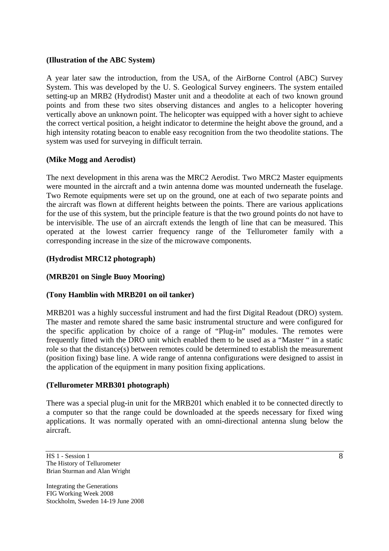### **(Illustration of the ABC System)**

A year later saw the introduction, from the USA, of the AirBorne Control (ABC) Survey System. This was developed by the U. S. Geological Survey engineers. The system entailed setting-up an MRB2 (Hydrodist) Master unit and a theodolite at each of two known ground points and from these two sites observing distances and angles to a helicopter hovering vertically above an unknown point. The helicopter was equipped with a hover sight to achieve the correct vertical position, a height indicator to determine the height above the ground, and a high intensity rotating beacon to enable easy recognition from the two theodolite stations. The system was used for surveying in difficult terrain.

### **(Mike Mogg and Aerodist)**

The next development in this arena was the MRC2 Aerodist. Two MRC2 Master equipments were mounted in the aircraft and a twin antenna dome was mounted underneath the fuselage. Two Remote equipments were set up on the ground, one at each of two separate points and the aircraft was flown at different heights between the points. There are various applications for the use of this system, but the principle feature is that the two ground points do not have to be intervisible. The use of an aircraft extends the length of line that can be measured. This operated at the lowest carrier frequency range of the Tellurometer family with a corresponding increase in the size of the microwave components.

### **(Hydrodist MRC12 photograph)**

#### **(MRB201 on Single Buoy Mooring)**

#### **(Tony Hamblin with MRB201 on oil tanker)**

MRB201 was a highly successful instrument and had the first Digital Readout (DRO) system. The master and remote shared the same basic instrumental structure and were configured for the specific application by choice of a range of "Plug-in" modules. The remotes were frequently fitted with the DRO unit which enabled them to be used as a "Master " in a static role so that the distance(s) between remotes could be determined to establish the measurement (position fixing) base line. A wide range of antenna configurations were designed to assist in the application of the equipment in many position fixing applications.

#### **(Tellurometer MRB301 photograph)**

There was a special plug-in unit for the MRB201 which enabled it to be connected directly to a computer so that the range could be downloaded at the speeds necessary for fixed wing applications. It was normally operated with an omni-directional antenna slung below the aircraft.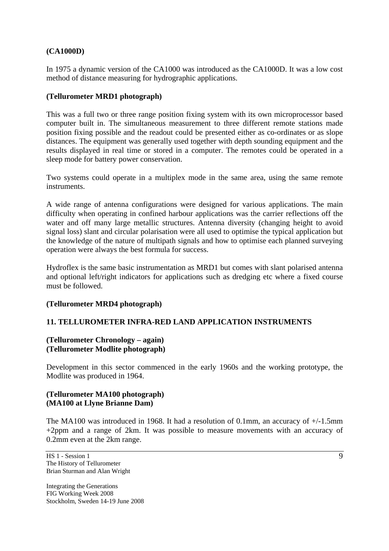### **(CA1000D)**

In 1975 a dynamic version of the CA1000 was introduced as the CA1000D. It was a low cost method of distance measuring for hydrographic applications.

### **(Tellurometer MRD1 photograph)**

This was a full two or three range position fixing system with its own microprocessor based computer built in. The simultaneous measurement to three different remote stations made position fixing possible and the readout could be presented either as co-ordinates or as slope distances. The equipment was generally used together with depth sounding equipment and the results displayed in real time or stored in a computer. The remotes could be operated in a sleep mode for battery power conservation.

Two systems could operate in a multiplex mode in the same area, using the same remote instruments.

A wide range of antenna configurations were designed for various applications. The main difficulty when operating in confined harbour applications was the carrier reflections off the water and off many large metallic structures. Antenna diversity (changing height to avoid signal loss) slant and circular polarisation were all used to optimise the typical application but the knowledge of the nature of multipath signals and how to optimise each planned surveying operation were always the best formula for success.

Hydroflex is the same basic instrumentation as MRD1 but comes with slant polarised antenna and optional left/right indicators for applications such as dredging etc where a fixed course must be followed.

#### **(Tellurometer MRD4 photograph)**

### **11. TELLUROMETER INFRA-RED LAND APPLICATION INSTRUMENTS**

#### **(Tellurometer Chronology – again) (Tellurometer Modlite photograph)**

Development in this sector commenced in the early 1960s and the working prototype, the Modlite was produced in 1964.

#### **(Tellurometer MA100 photograph) (MA100 at Llyne Brianne Dam)**

The MA100 was introduced in 1968. It had a resolution of 0.1mm, an accuracy of +/-1.5mm +2ppm and a range of 2km. It was possible to measure movements with an accuracy of 0.2mm even at the 2km range.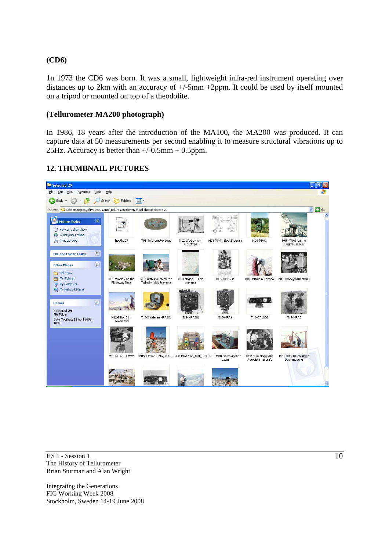### **(CD6)**

1n 1973 the CD6 was born. It was a small, lightweight infra-red instrument operating over distances up to 2km with an accuracy of  $+/-5$ mm  $+2$ ppm. It could be used by itself mounted on a tripod or mounted on top of a theodolite.

### **(Tellurometer MA200 photograph)**

In 1986, 18 years after the introduction of the MA100, the MA200 was produced. It can capture data at 50 measurements per second enabling it to measure structural vibrations up to 25Hz. Accuracy is better than +/-0.5mm + 0.5ppm.



# **12. THUMBNAIL PICTURES**

HS 1 - Session 1 The History of Tellurometer Brian Sturman and Alan Wright